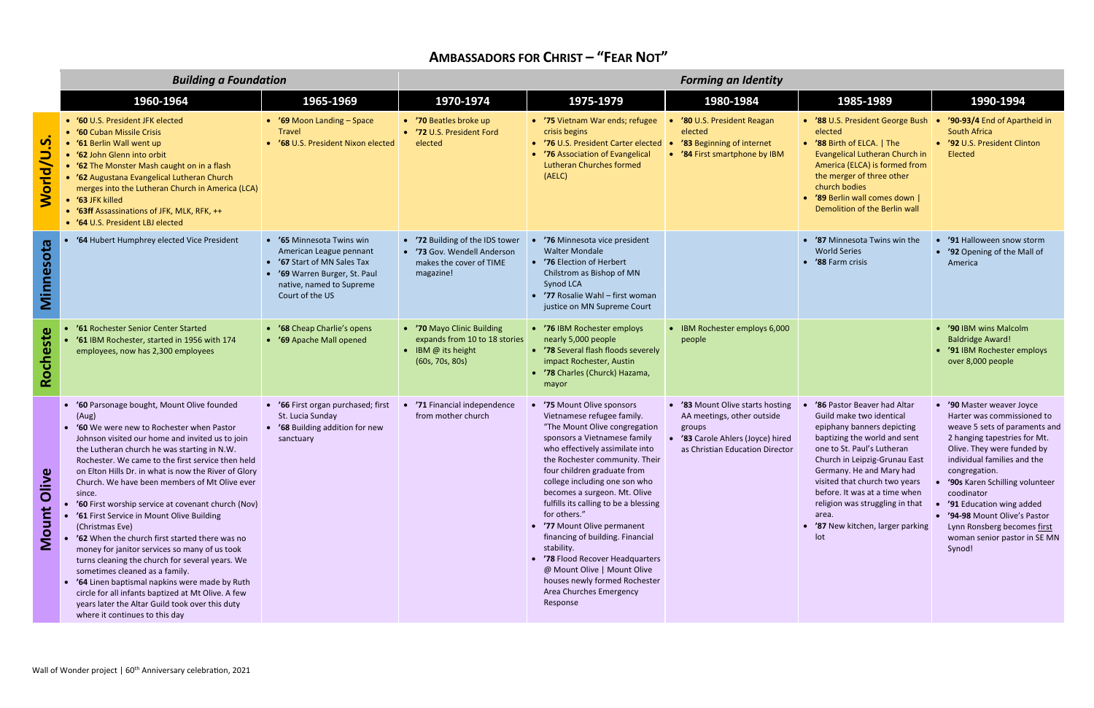## **AMBASSADORS FOR CHRIST – "FEAR NOT"**

|                   | <b>Building a Foundation</b>                                                                                                                                                                                                                                                                                                                                                                                                                                                                                                                                                                                                                                                                                                                                                                                                                                                                  |                                                                                                                                                                 | <b>Forming an Identity</b>                                                                             |                                                                                                                                                                                                                                                                                                                                                                                                                                                                                                                                                                                   |                                                                                                                                                |                                                                                                                                                                                                                                                                                                                                                                            |                                                                                                                                                                                                                                                                                                                                                                                                   |  |
|-------------------|-----------------------------------------------------------------------------------------------------------------------------------------------------------------------------------------------------------------------------------------------------------------------------------------------------------------------------------------------------------------------------------------------------------------------------------------------------------------------------------------------------------------------------------------------------------------------------------------------------------------------------------------------------------------------------------------------------------------------------------------------------------------------------------------------------------------------------------------------------------------------------------------------|-----------------------------------------------------------------------------------------------------------------------------------------------------------------|--------------------------------------------------------------------------------------------------------|-----------------------------------------------------------------------------------------------------------------------------------------------------------------------------------------------------------------------------------------------------------------------------------------------------------------------------------------------------------------------------------------------------------------------------------------------------------------------------------------------------------------------------------------------------------------------------------|------------------------------------------------------------------------------------------------------------------------------------------------|----------------------------------------------------------------------------------------------------------------------------------------------------------------------------------------------------------------------------------------------------------------------------------------------------------------------------------------------------------------------------|---------------------------------------------------------------------------------------------------------------------------------------------------------------------------------------------------------------------------------------------------------------------------------------------------------------------------------------------------------------------------------------------------|--|
|                   | 1960-1964                                                                                                                                                                                                                                                                                                                                                                                                                                                                                                                                                                                                                                                                                                                                                                                                                                                                                     | 1965-1969                                                                                                                                                       | 1970-1974                                                                                              | 1975-1979                                                                                                                                                                                                                                                                                                                                                                                                                                                                                                                                                                         | 1980-1984                                                                                                                                      | 1985-1989                                                                                                                                                                                                                                                                                                                                                                  | 1990-1994                                                                                                                                                                                                                                                                                                                                                                                         |  |
| n<br><b>World</b> | • '60 U.S. President JFK elected<br>• '60 Cuban Missile Crisis<br>• '61 Berlin Wall went up<br>• '62 John Glenn into orbit<br>• '62 The Monster Mash caught on in a flash<br>'62 Augustana Evangelical Lutheran Church<br>merges into the Lutheran Church in America (LCA)<br>• '63 JFK killed<br>• '63ff Assassinations of JFK, MLK, RFK, ++<br>• '64 U.S. President LBJ elected                                                                                                                                                                                                                                                                                                                                                                                                                                                                                                             | • '69 Moon Landing - Space<br><b>Travel</b><br>• '68 U.S. President Nixon elected                                                                               | • '70 Beatles broke up<br>• '72 U.S. President Ford<br>elected                                         | • '75 Vietnam War ends; refugee<br>crisis begins<br>• '76 U.S. President Carter elected<br>• '76 Association of Evangelical<br><b>Lutheran Churches formed</b><br>(AELC)                                                                                                                                                                                                                                                                                                                                                                                                          | '80 U.S. President Reagan<br>elected<br>'83 Beginning of internet<br>'84 First smartphone by IBM                                               | • '88 U.S. President George Bush<br>elected<br>• '88 Birth of ELCA.   The<br>Evangelical Lutheran Church in<br>America (ELCA) is formed from<br>the merger of three other<br>church bodies<br>'89 Berlin wall comes down  <br>Demolition of the Berlin wall                                                                                                                | '90-93/4 End of Apartheid in<br>South Africa<br>• '92 U.S. President Clinton<br>Elected                                                                                                                                                                                                                                                                                                           |  |
| Minnesota         | '64 Hubert Humphrey elected Vice President                                                                                                                                                                                                                                                                                                                                                                                                                                                                                                                                                                                                                                                                                                                                                                                                                                                    | • '65 Minnesota Twins win<br>American League pennant<br>'67 Start of MN Sales Tax<br>'69 Warren Burger, St. Paul<br>native, named to Supreme<br>Court of the US | • '72 Building of the IDS tower<br>• '73 Gov. Wendell Anderson<br>makes the cover of TIME<br>magazine! | '76 Minnesota vice president<br><b>Walter Mondale</b><br>• '76 Election of Herbert<br>Chilstrom as Bishop of MN<br>Synod LCA<br>• '77 Rosalie Wahl - first woman<br>justice on MN Supreme Court                                                                                                                                                                                                                                                                                                                                                                                   |                                                                                                                                                | '87 Minnesota Twins win the<br><b>World Series</b><br>'88 Farm crisis                                                                                                                                                                                                                                                                                                      | '91 Halloween snow storm<br>• '92 Opening of the Mall of<br>America                                                                                                                                                                                                                                                                                                                               |  |
| Rocheste          | '61 Rochester Senior Center Started<br>'61 IBM Rochester, started in 1956 with 174<br>employees, now has 2,300 employees                                                                                                                                                                                                                                                                                                                                                                                                                                                                                                                                                                                                                                                                                                                                                                      | • '68 Cheap Charlie's opens<br>• '69 Apache Mall opened                                                                                                         | • '70 Mayo Clinic Building<br>expands from 10 to 18 stories<br>• IBM @ its height<br>(60s, 70s, 80s)   | • '76 IBM Rochester employs<br>nearly 5,000 people<br>• '78 Several flash floods severely<br>impact Rochester, Austin<br>• '78 Charles (Churck) Hazama,<br>mayor                                                                                                                                                                                                                                                                                                                                                                                                                  | • IBM Rochester employs 6,000<br>people                                                                                                        |                                                                                                                                                                                                                                                                                                                                                                            | '90 IBM wins Malcolm<br><b>Baldridge Award!</b><br>• '91 IBM Rochester employs<br>over 8,000 people                                                                                                                                                                                                                                                                                               |  |
| Olive<br>Mount    | • '60 Parsonage bought, Mount Olive founded<br>(Aug)<br><b>'60</b> We were new to Rochester when Pastor<br>Johnson visited our home and invited us to join<br>the Lutheran church he was starting in N.W.<br>Rochester. We came to the first service then held<br>on Elton Hills Dr. in what is now the River of Glory<br>Church. We have been members of Mt Olive ever<br>since.<br>'60 First worship service at covenant church (Nov)<br>'61 First Service in Mount Olive Building<br>(Christmas Eve)<br>'62 When the church first started there was no<br>money for janitor services so many of us took<br>turns cleaning the church for several years. We<br>sometimes cleaned as a family.<br>• '64 Linen baptismal napkins were made by Ruth<br>circle for all infants baptized at Mt Olive. A few<br>years later the Altar Guild took over this duty<br>where it continues to this day | • '66 First organ purchased; first<br>St. Lucia Sunday<br>• '68 Building addition for new<br>sanctuary                                                          | • '71 Financial independence<br>from mother church                                                     | '75 Mount Olive sponsors<br>Vietnamese refugee family.<br>"The Mount Olive congregation<br>sponsors a Vietnamese family<br>who effectively assimilate into<br>the Rochester community. Their<br>four children graduate from<br>college including one son who<br>becomes a surgeon. Mt. Olive<br>fulfills its calling to be a blessing<br>for others."<br>• '77 Mount Olive permanent<br>financing of building. Financial<br>stability.<br>• '78 Flood Recover Headquarters<br>@ Mount Olive   Mount Olive<br>houses newly formed Rochester<br>Area Churches Emergency<br>Response | • '83 Mount Olive starts hosting<br>AA meetings, other outside<br>groups<br>'83 Carole Ahlers (Joyce) hired<br>as Christian Education Director | '86 Pastor Beaver had Altar<br>Guild make two identical<br>epiphany banners depicting<br>baptizing the world and sent<br>one to St. Paul's Lutheran<br>Church in Leipzig-Grunau East<br>Germany. He and Mary had<br>visited that church two years<br>before. It was at a time when<br>religion was struggling in that<br>area.<br>• '87 New kitchen, larger parking<br>lot | '90 Master weaver Joyce<br>Harter was commissioned to<br>weave 5 sets of paraments and<br>2 hanging tapestries for Mt.<br>Olive. They were funded by<br>individual families and the<br>congregation.<br><b>'90s</b> Karen Schilling volunteer<br>coodinator<br>'91 Education wing added<br>• '94-98 Mount Olive's Pastor<br>Lynn Ronsberg becomes first<br>woman senior pastor in SE MN<br>Synod! |  |